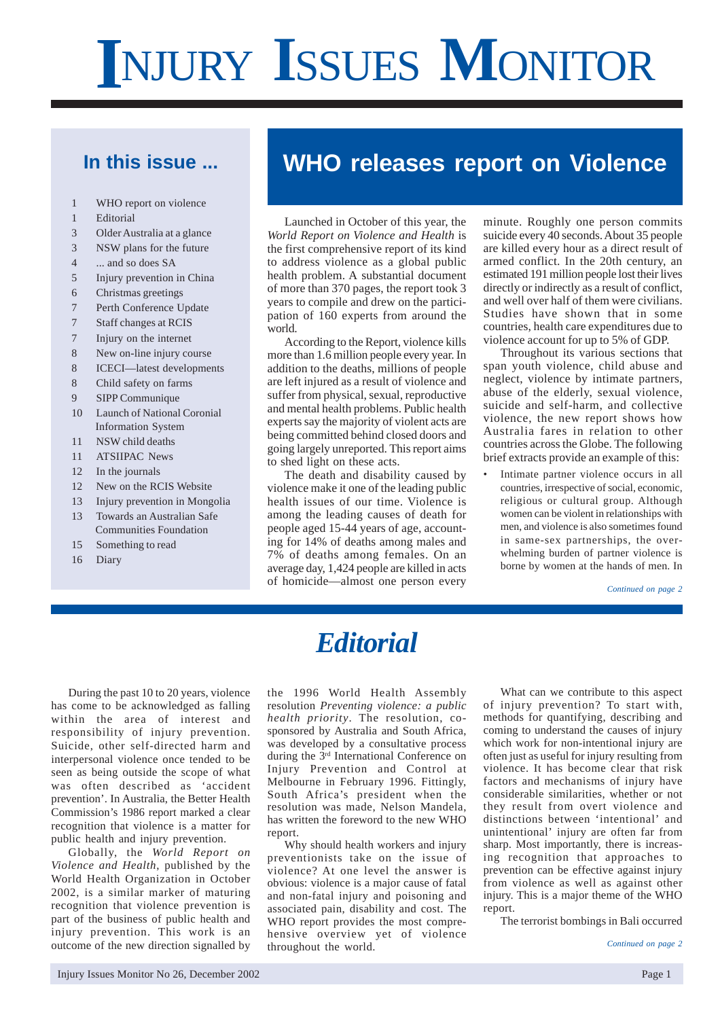# **I**NJURY **I**SSUES **M**ONITOR

# **In this issue ...**

- 1 WHO report on violence
- 1 Editorial
- 3 Older Australia at a glance
- 3 NSW plans for the future
- 4 ... and so does SA
- 5 Injury prevention in China
- 6 Christmas greetings
- 7 Perth Conference Update
- 7 Staff changes at RCIS
- 7 Injury on the internet
- 8 New on-line injury course
- 8 ICECI—latest developments
- 8 Child safety on farms
- 9 SIPP Communique
- 10 Launch of National Coronial Information System
- 11 NSW child deaths
- 11 ATSIIPAC News
- 12 In the journals
- 12 New on the RCIS Website
- 13 Injury prevention in Mongolia
- 13 Towards an Australian Safe Communities Foundation
- 15 Something to read
- 16 Diary

# **WHO releases report on Violence**

Launched in October of this year, the *World Report on Violence and Health* is the first comprehensive report of its kind to address violence as a global public health problem. A substantial document of more than 370 pages, the report took 3 years to compile and drew on the participation of 160 experts from around the world.

According to the Report, violence kills more than 1.6 million people every year. In addition to the deaths, millions of people are left injured as a result of violence and suffer from physical, sexual, reproductive and mental health problems. Public health experts say the majority of violent acts are being committed behind closed doors and going largely unreported. This report aims to shed light on these acts.

The death and disability caused by violence make it one of the leading public health issues of our time. Violence is among the leading causes of death for people aged 15-44 years of age, accounting for 14% of deaths among males and 7% of deaths among females. On an average day, 1,424 people are killed in acts of homicide—almost one person every minute. Roughly one person commits suicide every 40 seconds. About 35 people are killed every hour as a direct result of armed conflict. In the 20th century, an estimated 191 million people lost their lives directly or indirectly as a result of conflict, and well over half of them were civilians. Studies have shown that in some countries, health care expenditures due to violence account for up to 5% of GDP.

Throughout its various sections that span youth violence, child abuse and neglect, violence by intimate partners, abuse of the elderly, sexual violence, suicide and self-harm, and collective violence, the new report shows how Australia fares in relation to other countries across the Globe. The following brief extracts provide an example of this:

Intimate partner violence occurs in all countries, irrespective of social, economic, religious or cultural group. Although women can be violent in relationships with men, and violence is also sometimes found in same-sex partnerships, the overwhelming burden of partner violence is borne by women at the hands of men. In

*Continued on page 2*

# *Editorial*

During the past 10 to 20 years, violence has come to be acknowledged as falling within the area of interest and responsibility of injury prevention. Suicide, other self-directed harm and interpersonal violence once tended to be seen as being outside the scope of what was often described as 'accident prevention'. In Australia, the Better Health Commission's 1986 report marked a clear recognition that violence is a matter for public health and injury prevention.

Globally, the *World Report on Violence and Health*, published by the World Health Organization in October 2002, is a similar marker of maturing recognition that violence prevention is part of the business of public health and injury prevention. This work is an outcome of the new direction signalled by

the 1996 World Health Assembly resolution *Preventing violence: a public health priority*. The resolution, cosponsored by Australia and South Africa, was developed by a consultative process during the 3rd International Conference on Injury Prevention and Control at Melbourne in February 1996. Fittingly, South Africa's president when the resolution was made, Nelson Mandela, has written the foreword to the new WHO report.

Why should health workers and injury preventionists take on the issue of violence? At one level the answer is obvious: violence is a major cause of fatal and non-fatal injury and poisoning and associated pain, disability and cost. The WHO report provides the most comprehensive overview yet of violence throughout the world.

What can we contribute to this aspect of injury prevention? To start with, methods for quantifying, describing and coming to understand the causes of injury which work for non-intentional injury are often just as useful for injury resulting from violence. It has become clear that risk factors and mechanisms of injury have considerable similarities, whether or not they result from overt violence and distinctions between 'intentional' and unintentional' injury are often far from sharp. Most importantly, there is increasing recognition that approaches to prevention can be effective against injury from violence as well as against other injury. This is a major theme of the WHO report.

The terrorist bombings in Bali occurred

*Continued on page 2*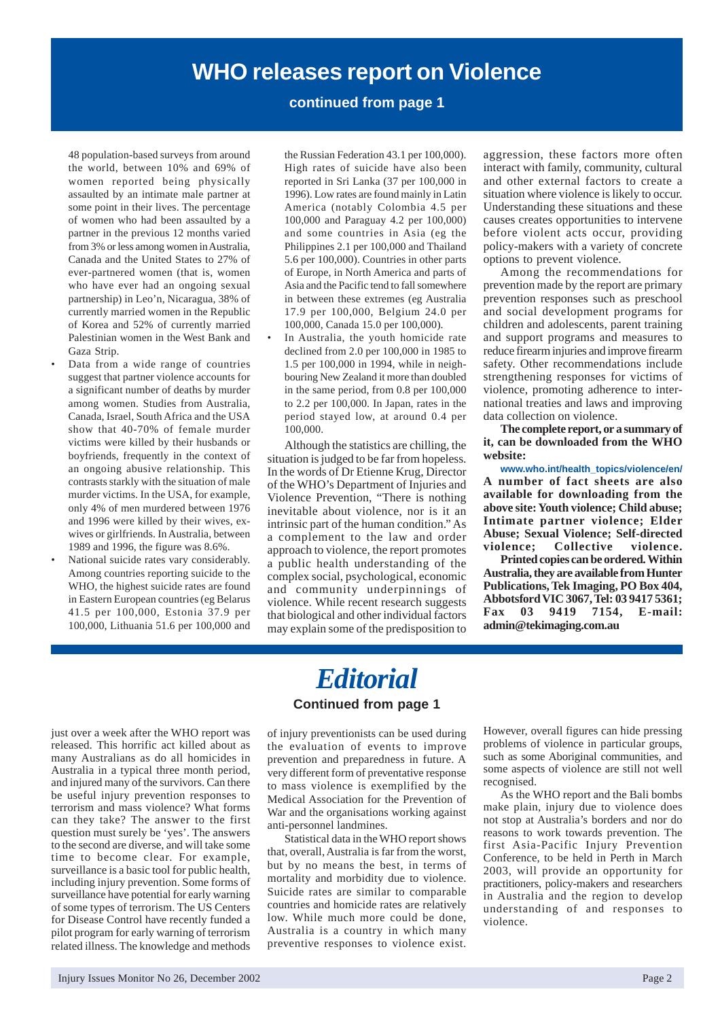# **WHO releases report on Violence**

# **continued from page 1**

48 population-based surveys from around the world, between 10% and 69% of women reported being physically assaulted by an intimate male partner at some point in their lives. The percentage of women who had been assaulted by a partner in the previous 12 months varied from 3% or less among women in Australia, Canada and the United States to 27% of ever-partnered women (that is, women who have ever had an ongoing sexual partnership) in Leo'n, Nicaragua, 38% of currently married women in the Republic of Korea and 52% of currently married Palestinian women in the West Bank and Gaza Strip.

- Data from a wide range of countries suggest that partner violence accounts for a significant number of deaths by murder among women. Studies from Australia, Canada, Israel, South Africa and the USA show that 40-70% of female murder victims were killed by their husbands or boyfriends, frequently in the context of an ongoing abusive relationship. This contrasts starkly with the situation of male murder victims. In the USA, for example, only 4% of men murdered between 1976 and 1996 were killed by their wives, exwives or girlfriends. In Australia, between 1989 and 1996, the figure was 8.6%.
- National suicide rates vary considerably. Among countries reporting suicide to the WHO, the highest suicide rates are found in Eastern European countries (eg Belarus 41.5 per 100,000, Estonia 37.9 per 100,000, Lithuania 51.6 per 100,000 and

the Russian Federation 43.1 per 100,000). High rates of suicide have also been reported in Sri Lanka (37 per 100,000 in 1996). Low rates are found mainly in Latin America (notably Colombia 4.5 per 100,000 and Paraguay 4.2 per 100,000) and some countries in Asia (eg the Philippines 2.1 per 100,000 and Thailand 5.6 per 100,000). Countries in other parts of Europe, in North America and parts of Asia and the Pacific tend to fall somewhere in between these extremes (eg Australia 17.9 per 100,000, Belgium 24.0 per 100,000, Canada 15.0 per 100,000).

In Australia, the youth homicide rate declined from 2.0 per 100,000 in 1985 to 1.5 per 100,000 in 1994, while in neighbouring New Zealand it more than doubled in the same period, from 0.8 per 100,000 to 2.2 per 100,000. In Japan, rates in the period stayed low, at around 0.4 per 100,000.

Although the statistics are chilling, the situation is judged to be far from hopeless. In the words of Dr Etienne Krug, Director of the WHO's Department of Injuries and Violence Prevention, "There is nothing inevitable about violence, nor is it an intrinsic part of the human condition." As a complement to the law and order approach to violence, the report promotes a public health understanding of the complex social, psychological, economic and community underpinnings of violence. While recent research suggests that biological and other individual factors may explain some of the predisposition to aggression, these factors more often interact with family, community, cultural and other external factors to create a situation where violence is likely to occur. Understanding these situations and these causes creates opportunities to intervene before violent acts occur, providing policy-makers with a variety of concrete options to prevent violence.

Among the recommendations for prevention made by the report are primary prevention responses such as preschool and social development programs for children and adolescents, parent training and support programs and measures to reduce firearm injuries and improve firearm safety. Other recommendations include strengthening responses for victims of violence, promoting adherence to international treaties and laws and improving data collection on violence.

**The complete report, or a summary of it, can be downloaded from the WHO website:**

**www.who.int/health\_topics/violence/en/ A number of fact sheets are also available for downloading from the above site: Youth violence; Child abuse; Intimate partner violence; Elder Abuse; Sexual Violence; Self-directed violence; Collective violence.**

**Printed copies can be ordered. Within Australia, they are available from Hunter Publications, Tek Imaging, PO Box 404, Abbotsford VIC 3067, Tel: 03 9417 5361; Fax 03 9419 7154, E-mail: admin@tekimaging.com.au**

just over a week after the WHO report was released. This horrific act killed about as many Australians as do all homicides in Australia in a typical three month period, and injured many of the survivors. Can there be useful injury prevention responses to terrorism and mass violence? What forms can they take? The answer to the first question must surely be 'yes'. The answers to the second are diverse, and will take some time to become clear. For example, surveillance is a basic tool for public health, including injury prevention. Some forms of surveillance have potential for early warning of some types of terrorism. The US Centers for Disease Control have recently funded a pilot program for early warning of terrorism related illness. The knowledge and methods

# *Editorial*

# **Continued from page 1**

of injury preventionists can be used during the evaluation of events to improve prevention and preparedness in future. A very different form of preventative response to mass violence is exemplified by the Medical Association for the Prevention of War and the organisations working against anti-personnel landmines.

Statistical data in the WHO report shows that, overall, Australia is far from the worst, but by no means the best, in terms of mortality and morbidity due to violence. Suicide rates are similar to comparable countries and homicide rates are relatively low. While much more could be done, Australia is a country in which many preventive responses to violence exist.

However, overall figures can hide pressing problems of violence in particular groups, such as some Aboriginal communities, and some aspects of violence are still not well recognised.

As the WHO report and the Bali bombs make plain, injury due to violence does not stop at Australia's borders and nor do reasons to work towards prevention. The first Asia-Pacific Injury Prevention Conference, to be held in Perth in March 2003, will provide an opportunity for practitioners, policy-makers and researchers in Australia and the region to develop understanding of and responses to violence.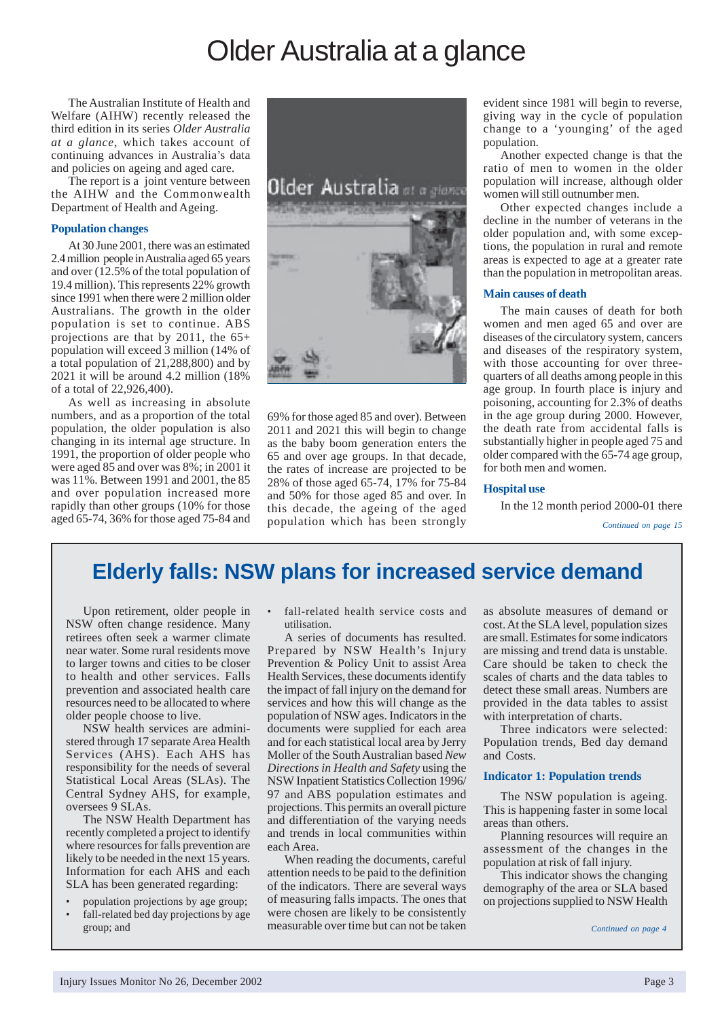# Older Australia at a glance

The Australian Institute of Health and Welfare (AIHW) recently released the third edition in its series *Older Australia at a glance*, which takes account of continuing advances in Australia's data and policies on ageing and aged care.

The report is a joint venture between the AIHW and the Commonwealth Department of Health and Ageing.

#### **Population changes**

At 30 June 2001, there was an estimated 2.4 million people in Australia aged 65 years and over (12.5% of the total population of 19.4 million). This represents 22% growth since 1991 when there were 2 million older Australians. The growth in the older population is set to continue. ABS projections are that by 2011, the 65+ population will exceed 3 million (14% of a total population of 21,288,800) and by 2021 it will be around 4.2 million (18% of a total of 22,926,400).

As well as increasing in absolute numbers, and as a proportion of the total population, the older population is also changing in its internal age structure. In 1991, the proportion of older people who were aged 85 and over was 8%; in 2001 it was 11%. Between 1991 and 2001, the 85 and over population increased more rapidly than other groups (10% for those aged 65-74, 36% for those aged 75-84 and



69% for those aged 85 and over). Between 2011 and 2021 this will begin to change as the baby boom generation enters the 65 and over age groups. In that decade, the rates of increase are projected to be 28% of those aged 65-74, 17% for 75-84 and 50% for those aged 85 and over. In this decade, the ageing of the aged population which has been strongly

evident since 1981 will begin to reverse, giving way in the cycle of population change to a 'younging' of the aged population.

Another expected change is that the ratio of men to women in the older population will increase, although older women will still outnumber men.

Other expected changes include a decline in the number of veterans in the older population and, with some exceptions, the population in rural and remote areas is expected to age at a greater rate than the population in metropolitan areas.

#### **Main causes of death**

The main causes of death for both women and men aged 65 and over are diseases of the circulatory system, cancers and diseases of the respiratory system, with those accounting for over threequarters of all deaths among people in this age group. In fourth place is injury and poisoning, accounting for 2.3% of deaths in the age group during 2000. However, the death rate from accidental falls is substantially higher in people aged 75 and older compared with the 65-74 age group, for both men and women.

#### **Hospital use**

In the 12 month period 2000-01 there

*Continued on page 15*

# **Elderly falls: NSW plans for increased service demand**

Upon retirement, older people in NSW often change residence. Many retirees often seek a warmer climate near water. Some rural residents move to larger towns and cities to be closer to health and other services. Falls prevention and associated health care resources need to be allocated to where older people choose to live.

NSW health services are administered through 17 separate Area Health Services (AHS). Each AHS has responsibility for the needs of several Statistical Local Areas (SLAs). The Central Sydney AHS, for example, oversees 9 SLAs.

The NSW Health Department has recently completed a project to identify where resources for falls prevention are likely to be needed in the next 15 years. Information for each AHS and each SLA has been generated regarding:

- population projections by age group;
- fall-related bed day projections by age group; and

fall-related health service costs and utilisation.

A series of documents has resulted. Prepared by NSW Health's Injury Prevention & Policy Unit to assist Area Health Services, these documents identify the impact of fall injury on the demand for services and how this will change as the population of NSW ages. Indicators in the documents were supplied for each area and for each statistical local area by Jerry Moller of the South Australian based *New Directions in Health and Safety* using the NSW Inpatient Statistics Collection 1996/ 97 and ABS population estimates and projections. This permits an overall picture and differentiation of the varying needs and trends in local communities within each Area.

When reading the documents, careful attention needs to be paid to the definition of the indicators. There are several ways of measuring falls impacts. The ones that were chosen are likely to be consistently measurable over time but can not be taken as absolute measures of demand or cost. At the SLA level, population sizes are small. Estimates for some indicators are missing and trend data is unstable. Care should be taken to check the scales of charts and the data tables to detect these small areas. Numbers are provided in the data tables to assist with interpretation of charts.

Three indicators were selected: Population trends, Bed day demand and Costs.

#### **Indicator 1: Population trends**

The NSW population is ageing. This is happening faster in some local areas than others.

Planning resources will require an assessment of the changes in the population at risk of fall injury.

This indicator shows the changing demography of the area or SLA based on projections supplied to NSW Health

*Continued on page 4*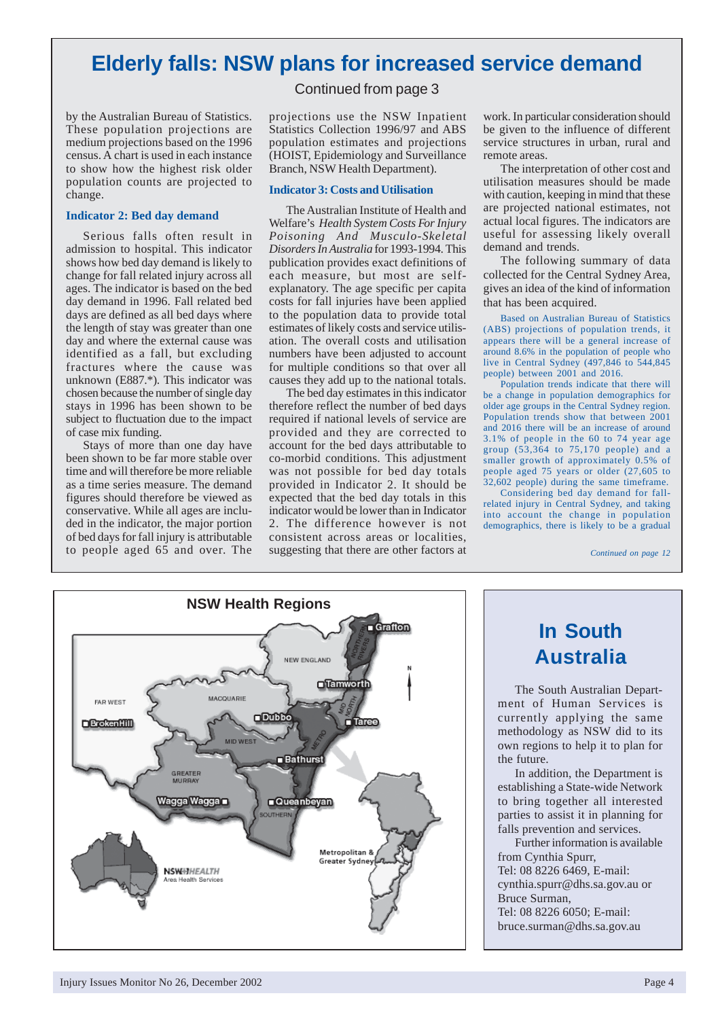# **Elderly falls: NSW plans for increased service demand**

Continued from page 3

by the Australian Bureau of Statistics. These population projections are medium projections based on the 1996 census. A chart is used in each instance to show how the highest risk older population counts are projected to change.

### **Indicator 2: Bed day demand**

Serious falls often result in admission to hospital. This indicator shows how bed day demand is likely to change for fall related injury across all ages. The indicator is based on the bed day demand in 1996. Fall related bed days are defined as all bed days where the length of stay was greater than one day and where the external cause was identified as a fall, but excluding fractures where the cause was unknown (E887.\*). This indicator was chosen because the number of single day stays in 1996 has been shown to be subject to fluctuation due to the impact of case mix funding.

Stays of more than one day have been shown to be far more stable over time and will therefore be more reliable as a time series measure. The demand figures should therefore be viewed as conservative. While all ages are included in the indicator, the major portion of bed days for fall injury is attributable to people aged 65 and over. The projections use the NSW Inpatient Statistics Collection 1996/97 and ABS population estimates and projections (HOIST, Epidemiology and Surveillance Branch, NSW Health Department).

#### **Indicator 3: Costs and Utilisation**

The Australian Institute of Health and Welfare's *Health System Costs For Injury Poisoning And Musculo-Skeletal Disorders In Australia* for 1993-1994. This publication provides exact definitions of each measure, but most are selfexplanatory. The age specific per capita costs for fall injuries have been applied to the population data to provide total estimates of likely costs and service utilisation. The overall costs and utilisation numbers have been adjusted to account for multiple conditions so that over all causes they add up to the national totals.

The bed day estimates in this indicator therefore reflect the number of bed days required if national levels of service are provided and they are corrected to account for the bed days attributable to co-morbid conditions. This adjustment was not possible for bed day totals provided in Indicator 2. It should be expected that the bed day totals in this indicator would be lower than in Indicator 2. The difference however is not consistent across areas or localities, suggesting that there are other factors at

work. In particular consideration should be given to the influence of different service structures in urban, rural and remote areas.

The interpretation of other cost and utilisation measures should be made with caution, keeping in mind that these are projected national estimates, not actual local figures. The indicators are useful for assessing likely overall demand and trends.

The following summary of data collected for the Central Sydney Area, gives an idea of the kind of information that has been acquired.

Based on Australian Bureau of Statistics (ABS) projections of population trends, it appears there will be a general increase of around 8.6% in the population of people who live in Central Sydney (497,846 to 544,845 people) between 2001 and 2016.

Population trends indicate that there will be a change in population demographics for older age groups in the Central Sydney region. Population trends show that between 2001 and 2016 there will be an increase of around 3.1% of people in the 60 to 74 year age group (53,364 to 75,170 people) and a smaller growth of approximately 0.5% of people aged 75 years or older (27,605 to 32,602 people) during the same timeframe.

Considering bed day demand for fallrelated injury in Central Sydney, and taking into account the change in population demographics, there is likely to be a gradual

*Continued on page 12*



# **In South Australia**

The South Australian Department of Human Services is currently applying the same methodology as NSW did to its own regions to help it to plan for the future.

In addition, the Department is establishing a State-wide Network to bring together all interested parties to assist it in planning for falls prevention and services.

Further information is available from Cynthia Spurr, Tel: 08 8226 6469, E-mail: cynthia.spurr@dhs.sa.gov.au or Bruce Surman, Tel: 08 8226 6050; E-mail: bruce.surman@dhs.sa.gov.au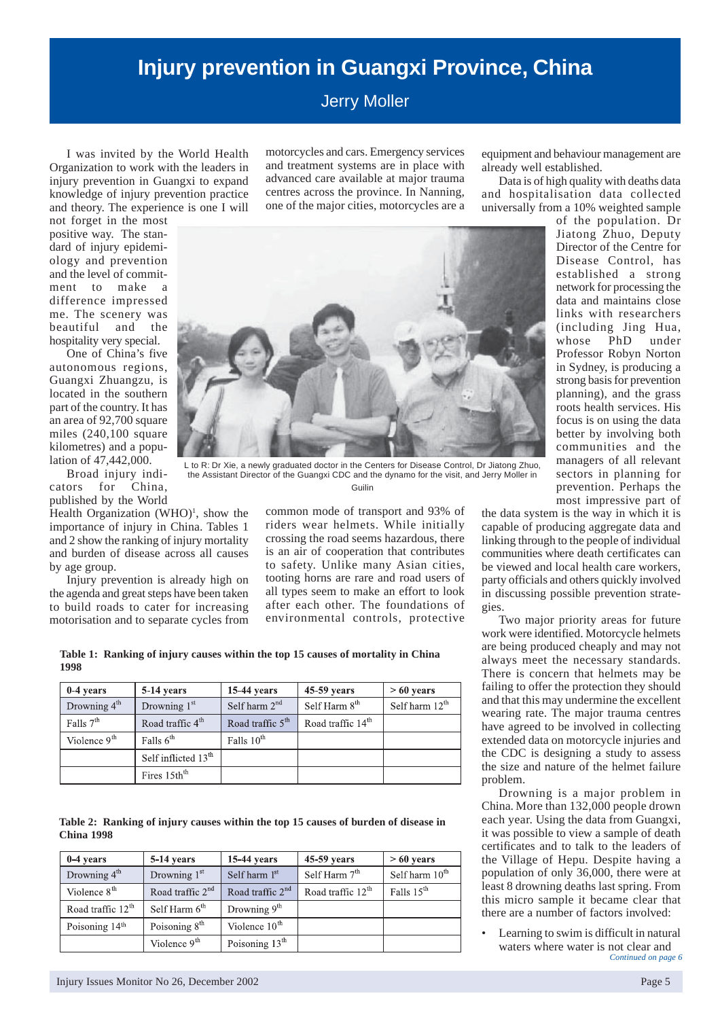# **Injury prevention in Guangxi Province, China**

Jerry Moller

I was invited by the World Health Organization to work with the leaders in injury prevention in Guangxi to expand knowledge of injury prevention practice and theory. The experience is one I will

not forget in the most positive way. The standard of injury epidemiology and prevention and the level of commitment to make a difference impressed me. The scenery was beautiful and the hospitality very special.

One of China's five autonomous regions, Guangxi Zhuangzu, is located in the southern part of the country. It has an area of 92,700 square miles (240,100 square kilometres) and a population of 47,442,000.

Broad injury indicators for China, published by the World

Health Organization  $(WHO)^1$ , show the importance of injury in China. Tables 1 and 2 show the ranking of injury mortality and burden of disease across all causes by age group.

Injury prevention is already high on the agenda and great steps have been taken to build roads to cater for increasing motorisation and to separate cycles from motorcycles and cars. Emergency services and treatment systems are in place with advanced care available at major trauma centres across the province. In Nanning, one of the major cities, motorcycles are a

after each other. The foundations of environmental controls, protective

L to R: Dr Xie, a newly graduated doctor in the Centers for Disease Control, Dr Jiatong Zhuo, the Assistant Director of the Guangxi CDC and the dynamo for the visit, and Jerry Moller in Guilin

equipment and behaviour management are already well established.

Data is of high quality with deaths data and hospitalisation data collected universally from a 10% weighted sample



common mode of transport and 93% of riders wear helmets. While initially crossing the road seems hazardous, there is an air of cooperation that contributes to safety. Unlike many Asian cities, tooting horns are rare and road users of all types seem to make an effort to look the data system is the way in which it is capable of producing aggregate data and linking through to the people of individual communities where death certificates can be viewed and local health care workers, party officials and others quickly involved in discussing possible prevention strate-

gies.

Two major priority areas for future work were identified. Motorcycle helmets are being produced cheaply and may not always meet the necessary standards. There is concern that helmets may be failing to offer the protection they should and that this may undermine the excellent wearing rate. The major trauma centres have agreed to be involved in collecting extended data on motorcycle injuries and the CDC is designing a study to assess the size and nature of the helmet failure problem.

Drowning is a major problem in China. More than 132,000 people drown each year. Using the data from Guangxi, it was possible to view a sample of death certificates and to talk to the leaders of the Village of Hepu. Despite having a population of only 36,000, there were at least 8 drowning deaths last spring. From this micro sample it became clear that there are a number of factors involved:

*Continued on page 6* • Learning to swim is difficult in natural waters where water is not clear and

**Table 1: Ranking of injury causes within the top 15 causes of mortality in China 1998**

| $0-4$ years              | 5-14 years                      | 15-44 years                  | 45-59 years                   | $>60$ years      |
|--------------------------|---------------------------------|------------------------------|-------------------------------|------------------|
| Drowning 4 <sup>th</sup> | Drowning $1st$                  | Self harm $2nd$              | Self Harm 8 <sup>th</sup>     | Self harm $12th$ |
| Falls $7th$              | Road traffic 4 <sup>th</sup>    | Road traffic 5 <sup>th</sup> | Road traffic 14 <sup>th</sup> |                  |
| Violence $9th$           | Falls $6th$                     | Falls 10 <sup>th</sup>       |                               |                  |
|                          | Self inflicted 13 <sup>th</sup> |                              |                               |                  |
|                          | Fires 15th <sup>th</sup>        |                              |                               |                  |

|                   | Table 2: Ranking of injury causes within the top 15 causes of burden of disease in |  |  |  |
|-------------------|------------------------------------------------------------------------------------|--|--|--|
| <b>China 1998</b> |                                                                                    |  |  |  |

| 0-4 years                     | 5-14 years         | $15-44$ years              | 45-59 years                   | $>60$ years                |
|-------------------------------|--------------------|----------------------------|-------------------------------|----------------------------|
| Drowning 4 <sup>th</sup>      | Drowning $1st$     | Self harm $1st$            | Self Harm 7 <sup>th</sup>     | Self harm $10^{\text{th}}$ |
| Violence $8th$                | Road traffic $2nd$ | Road traffic $2nd$         | Road traffic 12 <sup>th</sup> | Falls $15th$               |
| Road traffic 12 <sup>th</sup> | Self Harm $6th$    | Drowning $9th$             |                               |                            |
| Poisoning 14 <sup>th</sup>    | Poisoning $8th$    | Violence $10th$            |                               |                            |
|                               | Violence $9th$     | Poisoning 13 <sup>th</sup> |                               |                            |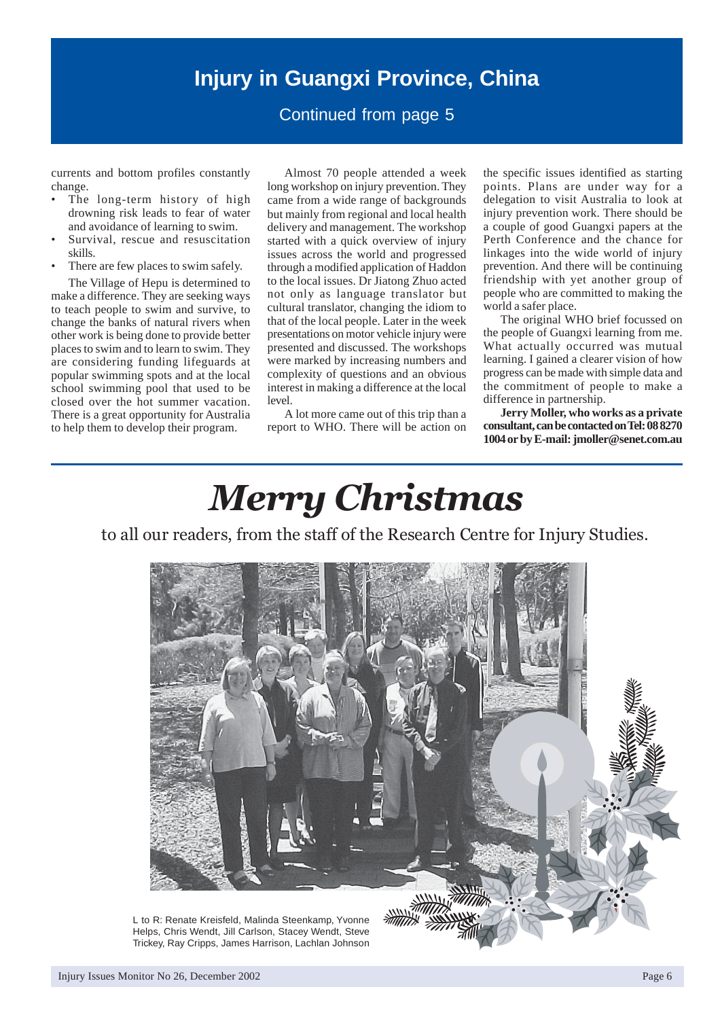# **Injury in Guangxi Province, China**

# Continued from page 5

currents and bottom profiles constantly change.

- The long-term history of high drowning risk leads to fear of water and avoidance of learning to swim.
- Survival, rescue and resuscitation skills.
- There are few places to swim safely.

The Village of Hepu is determined to make a difference. They are seeking ways to teach people to swim and survive, to change the banks of natural rivers when other work is being done to provide better places to swim and to learn to swim. They are considering funding lifeguards at popular swimming spots and at the local school swimming pool that used to be closed over the hot summer vacation. There is a great opportunity for Australia to help them to develop their program.

Almost 70 people attended a week long workshop on injury prevention. They came from a wide range of backgrounds but mainly from regional and local health delivery and management. The workshop started with a quick overview of injury issues across the world and progressed through a modified application of Haddon to the local issues. Dr Jiatong Zhuo acted not only as language translator but cultural translator, changing the idiom to that of the local people. Later in the week presentations on motor vehicle injury were presented and discussed. The workshops were marked by increasing numbers and complexity of questions and an obvious interest in making a difference at the local level.

A lot more came out of this trip than a report to WHO. There will be action on the specific issues identified as starting points. Plans are under way for a delegation to visit Australia to look at injury prevention work. There should be a couple of good Guangxi papers at the Perth Conference and the chance for linkages into the wide world of injury prevention. And there will be continuing friendship with yet another group of people who are committed to making the world a safer place.

The original WHO brief focussed on the people of Guangxi learning from me. What actually occurred was mutual learning. I gained a clearer vision of how progress can be made with simple data and the commitment of people to make a difference in partnership.

**Jerry Moller, who works as a private consultant, can be contacted on Tel: 08 8270 1004 or by E-mail: jmoller@senet.com.au**

# *Merry Christmas*

to all our readers, from the staff of the Research Centre for Injury Studies.



Injury Issues Monitor No 26, December 2002 Page 6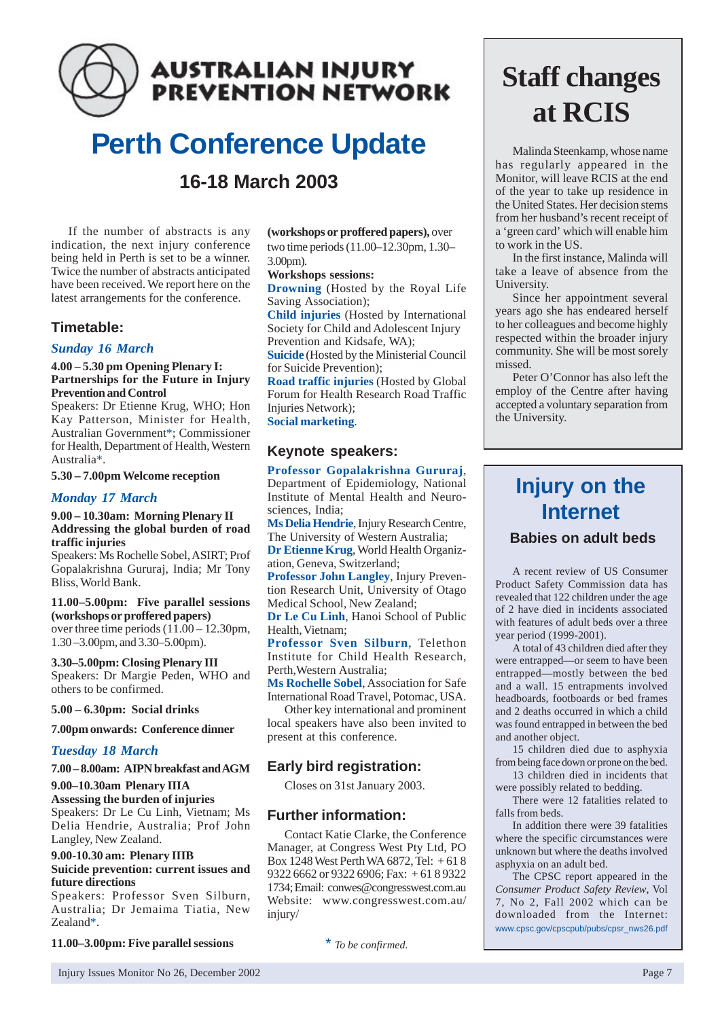# **AUSTRALIAN INJURY PREVENTION NETWORK**

# **Perth Conference Update 16-18 March 2003**

If the number of abstracts is any indication, the next injury conference being held in Perth is set to be a winner. Twice the number of abstracts anticipated have been received. We report here on the latest arrangements for the conference.

# **Timetable:**

# *Sunday 16 March*

### **4.00 – 5.30 pm Opening Plenary I: Partnerships for the Future in Injury Prevention and Control**

Speakers: Dr Etienne Krug, WHO; Hon Kay Patterson, Minister for Health, Australian Government\*; Commissioner for Health, Department of Health, Western Australia\*.

# **5.30 – 7.00pm Welcome reception**

# *Monday 17 March*

### **9.00 – 10.30am: Morning Plenary II Addressing the global burden of road traffic injuries**

Speakers: Ms Rochelle Sobel, ASIRT; Prof Gopalakrishna Gururaj, India; Mr Tony Bliss, World Bank.

# **11.00–5.00pm: Five parallel sessions (workshops or proffered papers)**

over three time periods (11.00 – 12.30pm, 1.30 –3.00pm, and 3.30–5.00pm).

**3.30–5.00pm: Closing Plenary III** Speakers: Dr Margie Peden, WHO and others to be confirmed.

# **5.00 – 6.30pm: Social drinks**

# **7.00pm onwards: Conference dinner**

# *Tuesday 18 March*

# **7.00 – 8.00am: AIPN breakfast and AGM**

# **9.00–10.30am Plenary IIIA**

**Assessing the burden of injuries** Speakers: Dr Le Cu Linh, Vietnam; Ms Delia Hendrie, Australia; Prof John Langley, New Zealand.

# **9.00-10.30 am: Plenary IIIB Suicide prevention: current issues and future directions**

Speakers: Professor Sven Silburn, Australia; Dr Jemaima Tiatia, New Zealand\*.

### **11.00–3.00pm: Five parallel sessions**

**(workshops or proffered papers),** over two time periods (11.00–12.30pm, 1.30– 3.00pm).

### **Workshops sessions:**

**Drowning** (Hosted by the Royal Life Saving Association);

**Child injuries** (Hosted by International Society for Child and Adolescent Injury Prevention and Kidsafe, WA);

**Suicide** (Hosted by the Ministerial Council for Suicide Prevention);

**Road traffic injuries** (Hosted by Global Forum for Health Research Road Traffic Injuries Network);

**Social marketing**.

# **Keynote speakers:**

**Professor Gopalakrishna Gururaj**, Department of Epidemiology, National Institute of Mental Health and Neurosciences, India;

**Ms Delia Hendrie**, Injury Research Centre, The University of Western Australia;

**Dr Etienne Krug**, World Health Organization, Geneva, Switzerland;

**Professor John Langley**, Injury Prevention Research Unit, University of Otago Medical School, New Zealand;

**Dr Le Cu Linh**, Hanoi School of Public Health, Vietnam;

**Professor Sven Silburn**, Telethon Institute for Child Health Research, Perth,Western Australia;

**Ms Rochelle Sobel**, Association for Safe International Road Travel, Potomac, USA.

Other key international and prominent local speakers have also been invited to present at this conference.

# **Early bird registration:**

Closes on 31st January 2003.

# **Further information:**

Contact Katie Clarke, the Conference Manager, at Congress West Pty Ltd, PO Box 1248 West Perth WA 6872, Tel: + 61 8 9322 6662 or 9322 6906; Fax: + 61 8 9322 1734; Email: conwes@congresswest.com.au Website: www.congresswest.com.au/ injury/

\* *To be confirmed.*

# **Staff changes at RCIS**

Malinda Steenkamp, whose name has regularly appeared in the Monitor, will leave RCIS at the end of the year to take up residence in the United States. Her decision stems from her husband's recent receipt of a 'green card' which will enable him to work in the US.

In the first instance, Malinda will take a leave of absence from the University.

Since her appointment several years ago she has endeared herself to her colleagues and become highly respected within the broader injury community. She will be most sorely missed.

Peter O'Connor has also left the employ of the Centre after having accepted a voluntary separation from the University.

# **Injury on the Internet**

# **Babies on adult beds**

A recent review of US Consumer Product Safety Commission data has revealed that 122 children under the age of 2 have died in incidents associated with features of adult beds over a three year period (1999-2001).

A total of 43 children died after they were entrapped—or seem to have been entrapped—mostly between the bed and a wall. 15 entrapments involved headboards, footboards or bed frames and 2 deaths occurred in which a child was found entrapped in between the bed and another object.

15 children died due to asphyxia from being face down or prone on the bed.

13 children died in incidents that were possibly related to bedding.

There were 12 fatalities related to falls from beds.

In addition there were 39 fatalities where the specific circumstances were unknown but where the deaths involved asphyxia on an adult bed.

The CPSC report appeared in the *Consumer Product Safety Review*, Vol 7, No 2, Fall 2002 which can be downloaded from the Internet: www.cpsc.gov/cpscpub/pubs/cpsr\_nws26.pdf

Injury Issues Monitor No 26, December 2002 Page 7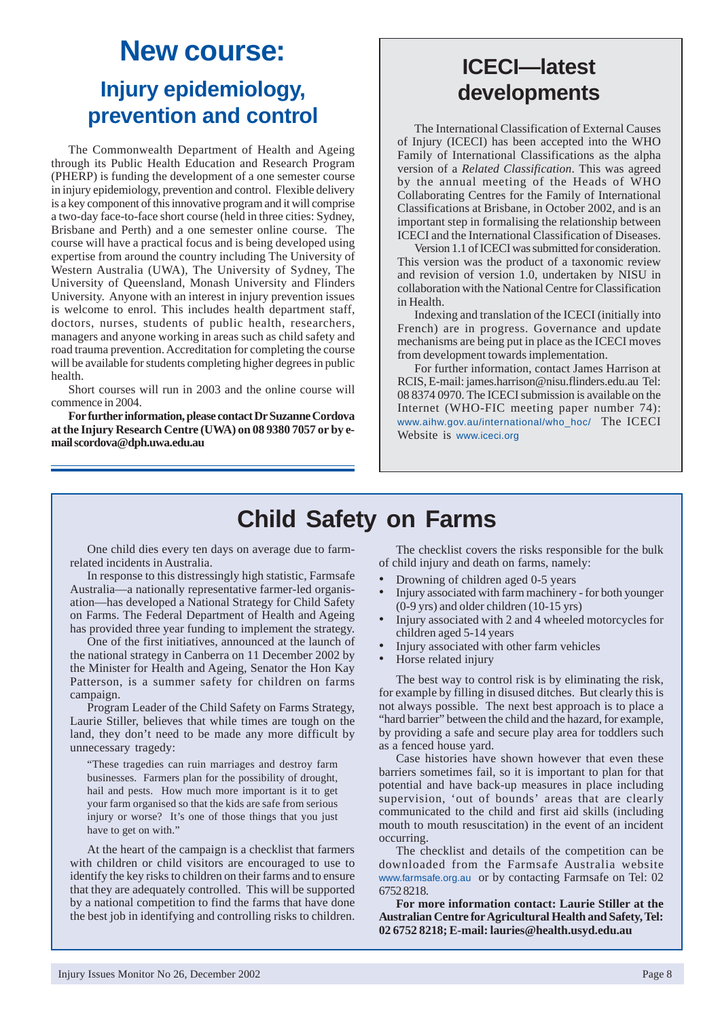# **New course: Injury epidemiology, prevention and control**

The Commonwealth Department of Health and Ageing through its Public Health Education and Research Program (PHERP) is funding the development of a one semester course in injury epidemiology, prevention and control. Flexible delivery is a key component of this innovative program and it will comprise a two-day face-to-face short course (held in three cities: Sydney, Brisbane and Perth) and a one semester online course. The course will have a practical focus and is being developed using expertise from around the country including The University of Western Australia (UWA), The University of Sydney, The University of Queensland, Monash University and Flinders University. Anyone with an interest in injury prevention issues is welcome to enrol. This includes health department staff, doctors, nurses, students of public health, researchers, managers and anyone working in areas such as child safety and road trauma prevention. Accreditation for completing the course will be available for students completing higher degrees in public health.

Short courses will run in 2003 and the online course will commence in 2004.

**For further information, please contact Dr Suzanne Cordova at the Injury Research Centre (UWA) on 08 9380 7057 or by email scordova@dph.uwa.edu.au**

# **ICECI—latest developments**

The International Classification of External Causes of Injury (ICECI) has been accepted into the WHO Family of International Classifications as the alpha version of a *Related Classification*. This was agreed by the annual meeting of the Heads of WHO Collaborating Centres for the Family of International Classifications at Brisbane, in October 2002, and is an important step in formalising the relationship between ICECI and the International Classification of Diseases.

Version 1.1 of ICECI was submitted for consideration. This version was the product of a taxonomic review and revision of version 1.0, undertaken by NISU in collaboration with the National Centre for Classification in Health.

Indexing and translation of the ICECI (initially into French) are in progress. Governance and update mechanisms are being put in place as the ICECI moves from development towards implementation.

For further information, contact James Harrison at RCIS, E-mail: james.harrison@nisu.flinders.edu.au Tel: 08 8374 0970. The ICECI submission is available on the Internet (WHO-FIC meeting paper number 74): www.aihw.gov.au/international/who\_hoc/ The ICECI Website is www.iceci.org

# **Child Safety on Farms**

One child dies every ten days on average due to farmrelated incidents in Australia.

In response to this distressingly high statistic, Farmsafe Australia—a nationally representative farmer-led organisation—has developed a National Strategy for Child Safety on Farms. The Federal Department of Health and Ageing has provided three year funding to implement the strategy.

One of the first initiatives, announced at the launch of the national strategy in Canberra on 11 December 2002 by the Minister for Health and Ageing, Senator the Hon Kay Patterson, is a summer safety for children on farms campaign.

Program Leader of the Child Safety on Farms Strategy, Laurie Stiller, believes that while times are tough on the land, they don't need to be made any more difficult by unnecessary tragedy:

"These tragedies can ruin marriages and destroy farm businesses. Farmers plan for the possibility of drought, hail and pests. How much more important is it to get your farm organised so that the kids are safe from serious injury or worse? It's one of those things that you just have to get on with."

At the heart of the campaign is a checklist that farmers with children or child visitors are encouraged to use to identify the key risks to children on their farms and to ensure that they are adequately controlled. This will be supported by a national competition to find the farms that have done the best job in identifying and controlling risks to children.

The checklist covers the risks responsible for the bulk of child injury and death on farms, namely:

- Drowning of children aged 0-5 years
- Injury associated with farm machinery for both younger (0-9 yrs) and older children (10-15 yrs)
- Injury associated with 2 and 4 wheeled motorcycles for children aged 5-14 years
- Injury associated with other farm vehicles
- Horse related injury

The best way to control risk is by eliminating the risk, for example by filling in disused ditches. But clearly this is not always possible. The next best approach is to place a "hard barrier" between the child and the hazard, for example, by providing a safe and secure play area for toddlers such as a fenced house yard.

Case histories have shown however that even these barriers sometimes fail, so it is important to plan for that potential and have back-up measures in place including supervision, 'out of bounds' areas that are clearly communicated to the child and first aid skills (including mouth to mouth resuscitation) in the event of an incident occurring.

The checklist and details of the competition can be downloaded from the Farmsafe Australia website www.farmsafe.org.au or by contacting Farmsafe on Tel: 02 6752 8218.

**For more information contact: Laurie Stiller at the Australian Centre for Agricultural Health and Safety, Tel: 02 6752 8218; E-mail: lauries@health.usyd.edu.au**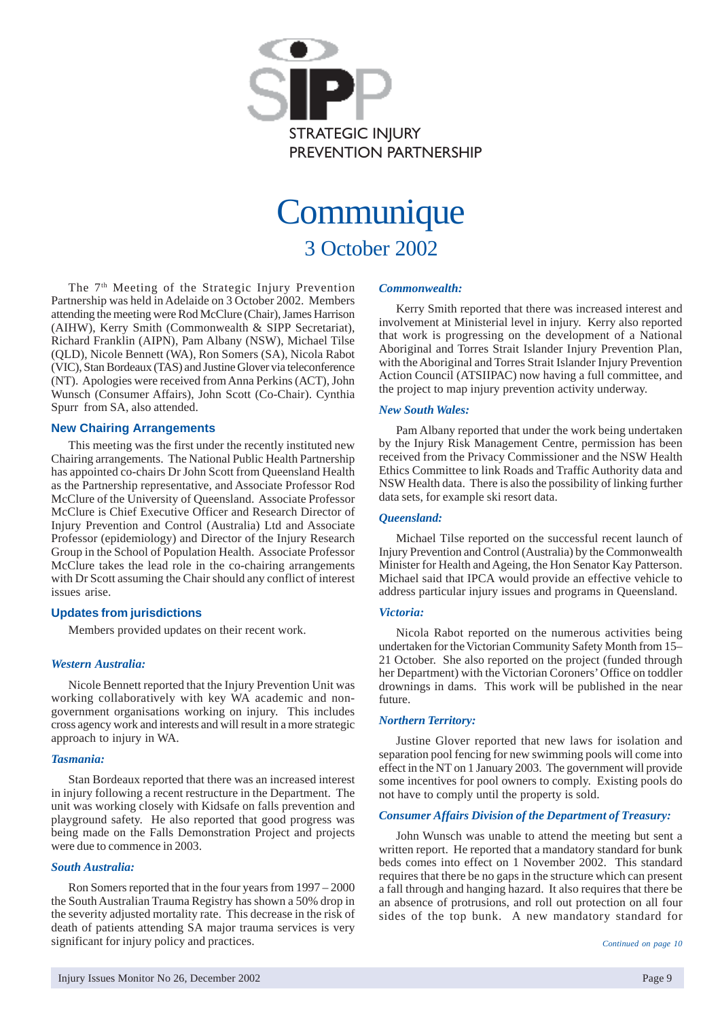

# **Communique**

3 October 2002

The 7<sup>th</sup> Meeting of the Strategic Injury Prevention Partnership was held in Adelaide on 3 October 2002. Members attending the meeting were Rod McClure (Chair), James Harrison (AIHW), Kerry Smith (Commonwealth & SIPP Secretariat), Richard Franklin (AIPN), Pam Albany (NSW), Michael Tilse (QLD), Nicole Bennett (WA), Ron Somers (SA), Nicola Rabot (VIC), Stan Bordeaux (TAS) and Justine Glover via teleconference (NT). Apologies were received from Anna Perkins (ACT), John Wunsch (Consumer Affairs), John Scott (Co-Chair). Cynthia Spurr from SA, also attended.

# **New Chairing Arrangements**

This meeting was the first under the recently instituted new Chairing arrangements. The National Public Health Partnership has appointed co-chairs Dr John Scott from Queensland Health as the Partnership representative, and Associate Professor Rod McClure of the University of Queensland. Associate Professor McClure is Chief Executive Officer and Research Director of Injury Prevention and Control (Australia) Ltd and Associate Professor (epidemiology) and Director of the Injury Research Group in the School of Population Health. Associate Professor McClure takes the lead role in the co-chairing arrangements with Dr Scott assuming the Chair should any conflict of interest issues arise.

# **Updates from jurisdictions**

Members provided updates on their recent work.

### *Western Australia:*

Nicole Bennett reported that the Injury Prevention Unit was working collaboratively with key WA academic and nongovernment organisations working on injury. This includes cross agency work and interests and will result in a more strategic approach to injury in WA.

### *Tasmania:*

Stan Bordeaux reported that there was an increased interest in injury following a recent restructure in the Department. The unit was working closely with Kidsafe on falls prevention and playground safety. He also reported that good progress was being made on the Falls Demonstration Project and projects were due to commence in 2003.

# *South Australia:*

Ron Somers reported that in the four years from 1997 – 2000 the South Australian Trauma Registry has shown a 50% drop in the severity adjusted mortality rate. This decrease in the risk of death of patients attending SA major trauma services is very significant for injury policy and practices.

#### *Commonwealth:*

Kerry Smith reported that there was increased interest and involvement at Ministerial level in injury. Kerry also reported that work is progressing on the development of a National Aboriginal and Torres Strait Islander Injury Prevention Plan, with the Aboriginal and Torres Strait Islander Injury Prevention Action Council (ATSIIPAC) now having a full committee, and the project to map injury prevention activity underway.

### *New South Wales:*

Pam Albany reported that under the work being undertaken by the Injury Risk Management Centre, permission has been received from the Privacy Commissioner and the NSW Health Ethics Committee to link Roads and Traffic Authority data and NSW Health data. There is also the possibility of linking further data sets, for example ski resort data.

### *Queensland:*

Michael Tilse reported on the successful recent launch of Injury Prevention and Control (Australia) by the Commonwealth Minister for Health and Ageing, the Hon Senator Kay Patterson. Michael said that IPCA would provide an effective vehicle to address particular injury issues and programs in Queensland.

### *Victoria:*

Nicola Rabot reported on the numerous activities being undertaken for the Victorian Community Safety Month from 15– 21 October. She also reported on the project (funded through her Department) with the Victorian Coroners' Office on toddler drownings in dams. This work will be published in the near future.

# *Northern Territory:*

Justine Glover reported that new laws for isolation and separation pool fencing for new swimming pools will come into effect in the NT on 1 January 2003. The government will provide some incentives for pool owners to comply. Existing pools do not have to comply until the property is sold.

# *Consumer Affairs Division of the Department of Treasury:*

John Wunsch was unable to attend the meeting but sent a written report. He reported that a mandatory standard for bunk beds comes into effect on 1 November 2002. This standard requires that there be no gaps in the structure which can present a fall through and hanging hazard. It also requires that there be an absence of protrusions, and roll out protection on all four sides of the top bunk. A new mandatory standard for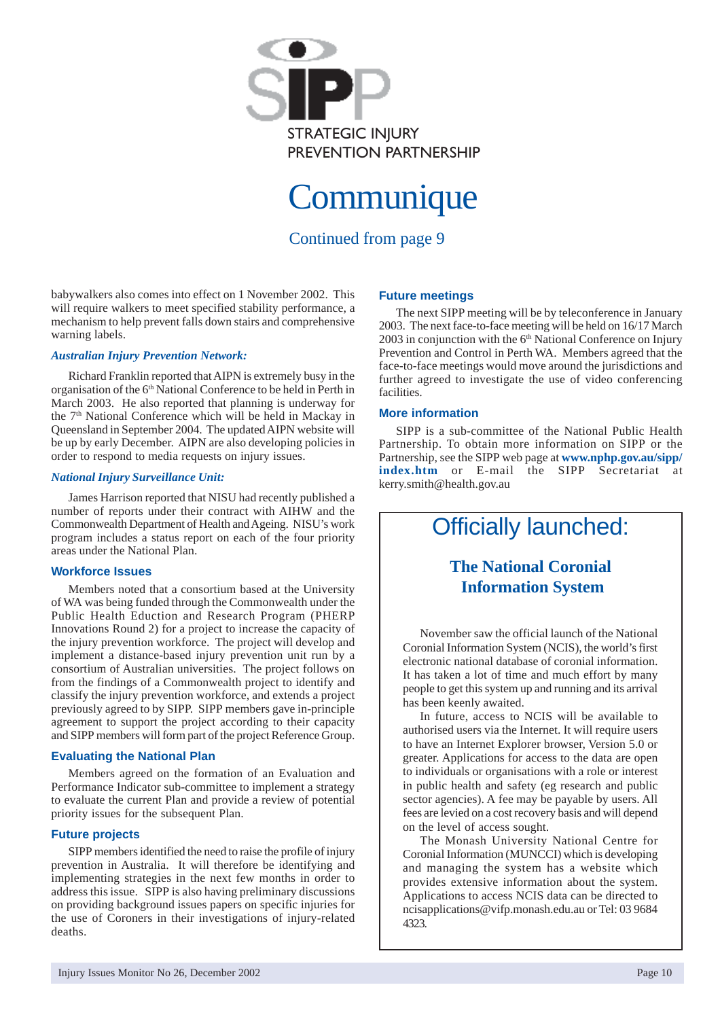

# **Communique**

Continued from page 9

babywalkers also comes into effect on 1 November 2002. This will require walkers to meet specified stability performance, a mechanism to help prevent falls down stairs and comprehensive warning labels.

# *Australian Injury Prevention Network:*

Richard Franklin reported that AIPN is extremely busy in the organisation of the 6<sup>th</sup> National Conference to be held in Perth in March 2003. He also reported that planning is underway for the 7<sup>th</sup> National Conference which will be held in Mackay in Queensland in September 2004. The updated AIPN website will be up by early December. AIPN are also developing policies in order to respond to media requests on injury issues.

# *National Injury Surveillance Unit:*

James Harrison reported that NISU had recently published a number of reports under their contract with AIHW and the Commonwealth Department of Health and Ageing. NISU's work program includes a status report on each of the four priority areas under the National Plan.

# **Workforce Issues**

Members noted that a consortium based at the University of WA was being funded through the Commonwealth under the Public Health Eduction and Research Program (PHERP Innovations Round 2) for a project to increase the capacity of the injury prevention workforce. The project will develop and implement a distance-based injury prevention unit run by a consortium of Australian universities. The project follows on from the findings of a Commonwealth project to identify and classify the injury prevention workforce, and extends a project previously agreed to by SIPP. SIPP members gave in-principle agreement to support the project according to their capacity and SIPP members will form part of the project Reference Group.

# **Evaluating the National Plan**

Members agreed on the formation of an Evaluation and Performance Indicator sub-committee to implement a strategy to evaluate the current Plan and provide a review of potential priority issues for the subsequent Plan.

# **Future projects**

SIPP members identified the need to raise the profile of injury prevention in Australia. It will therefore be identifying and implementing strategies in the next few months in order to address this issue. SIPP is also having preliminary discussions on providing background issues papers on specific injuries for the use of Coroners in their investigations of injury-related deaths.

# **Future meetings**

The next SIPP meeting will be by teleconference in January 2003. The next face-to-face meeting will be held on 16/17 March 2003 in conjunction with the 6<sup>th</sup> National Conference on Injury Prevention and Control in Perth WA. Members agreed that the face-to-face meetings would move around the jurisdictions and further agreed to investigate the use of video conferencing facilities.

# **More information**

SIPP is a sub-committee of the National Public Health Partnership. To obtain more information on SIPP or the Partnership, see the SIPP web page at **www.nphp.gov.au/sipp/ index.htm** or E-mail the SIPP Secretariat at kerry.smith@health.gov.au

# Officially launched:

# **The National Coronial Information System**

November saw the official launch of the National Coronial Information System (NCIS), the world's first electronic national database of coronial information. It has taken a lot of time and much effort by many people to get this system up and running and its arrival has been keenly awaited.

In future, access to NCIS will be available to authorised users via the Internet. It will require users to have an Internet Explorer browser, Version 5.0 or greater. Applications for access to the data are open to individuals or organisations with a role or interest in public health and safety (eg research and public sector agencies). A fee may be payable by users. All fees are levied on a cost recovery basis and will depend on the level of access sought.

The Monash University National Centre for Coronial Information (MUNCCI) which is developing and managing the system has a website which provides extensive information about the system. Applications to access NCIS data can be directed to ncisapplications@vifp.monash.edu.au or Tel: 03 9684 4323.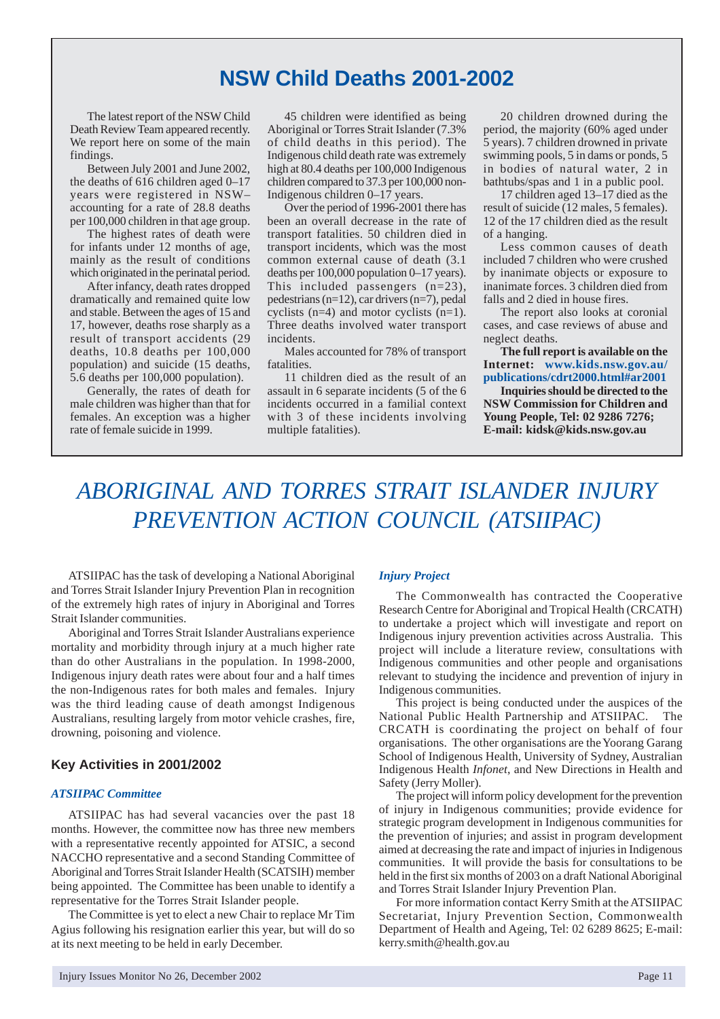# **NSW Child Deaths 2001-2002**

The latest report of the NSW Child Death Review Team appeared recently. We report here on some of the main findings.

Between July 2001 and June 2002, the deaths of 616 children aged 0–17 years were registered in NSW– accounting for a rate of 28.8 deaths per 100,000 children in that age group.

The highest rates of death were for infants under 12 months of age, mainly as the result of conditions which originated in the perinatal period.

After infancy, death rates dropped dramatically and remained quite low and stable. Between the ages of 15 and 17, however, deaths rose sharply as a result of transport accidents (29 deaths, 10.8 deaths per 100,000 population) and suicide (15 deaths, 5.6 deaths per 100,000 population).

Generally, the rates of death for male children was higher than that for females. An exception was a higher rate of female suicide in 1999.

45 children were identified as being Aboriginal or Torres Strait Islander (7.3% of child deaths in this period). The Indigenous child death rate was extremely high at 80.4 deaths per 100,000 Indigenous children compared to 37.3 per 100,000 non-Indigenous children 0–17 years.

Over the period of 1996-2001 there has been an overall decrease in the rate of transport fatalities. 50 children died in transport incidents, which was the most common external cause of death (3.1 deaths per 100,000 population 0–17 years). This included passengers (n=23), pedestrians (n=12), car drivers (n=7), pedal cyclists (n=4) and motor cyclists (n=1). Three deaths involved water transport incidents.

Males accounted for 78% of transport fatalities.

11 children died as the result of an assault in 6 separate incidents (5 of the 6 incidents occurred in a familial context with 3 of these incidents involving multiple fatalities).

20 children drowned during the period, the majority (60% aged under 5 years). 7 children drowned in private swimming pools, 5 in dams or ponds, 5 in bodies of natural water, 2 in bathtubs/spas and 1 in a public pool.

17 children aged 13–17 died as the result of suicide (12 males, 5 females). 12 of the 17 children died as the result of a hanging.

Less common causes of death included 7 children who were crushed by inanimate objects or exposure to inanimate forces. 3 children died from falls and 2 died in house fires.

The report also looks at coronial cases, and case reviews of abuse and neglect deaths.

**The full report is available on the Internet: www.kids.nsw.gov.au/ publications/cdrt2000.html#ar2001**

**Inquiries should be directed to the NSW Commission for Children and Young People, Tel: 02 9286 7276; E-mail: kidsk@kids.nsw.gov.au**

# *ABORIGINAL AND TORRES STRAIT ISLANDER INJURY PREVENTION ACTION COUNCIL (ATSIIPAC)*

ATSIIPAC has the task of developing a National Aboriginal and Torres Strait Islander Injury Prevention Plan in recognition of the extremely high rates of injury in Aboriginal and Torres Strait Islander communities.

Aboriginal and Torres Strait Islander Australians experience mortality and morbidity through injury at a much higher rate than do other Australians in the population. In 1998-2000, Indigenous injury death rates were about four and a half times the non-Indigenous rates for both males and females. Injury was the third leading cause of death amongst Indigenous Australians, resulting largely from motor vehicle crashes, fire, drowning, poisoning and violence.

# **Key Activities in 2001/2002**

### *ATSIIPAC Committee*

ATSIIPAC has had several vacancies over the past 18 months. However, the committee now has three new members with a representative recently appointed for ATSIC, a second NACCHO representative and a second Standing Committee of Aboriginal and Torres Strait Islander Health (SCATSIH) member being appointed. The Committee has been unable to identify a representative for the Torres Strait Islander people.

The Committee is yet to elect a new Chair to replace Mr Tim Agius following his resignation earlier this year, but will do so at its next meeting to be held in early December.

#### *Injury Project*

The Commonwealth has contracted the Cooperative Research Centre for Aboriginal and Tropical Health (CRCATH) to undertake a project which will investigate and report on Indigenous injury prevention activities across Australia. This project will include a literature review, consultations with Indigenous communities and other people and organisations relevant to studying the incidence and prevention of injury in Indigenous communities.

This project is being conducted under the auspices of the National Public Health Partnership and ATSIIPAC. The CRCATH is coordinating the project on behalf of four organisations. The other organisations are the Yoorang Garang School of Indigenous Health, University of Sydney, Australian Indigenous Health *Infonet*, and New Directions in Health and Safety (Jerry Moller).

The project will inform policy development for the prevention of injury in Indigenous communities; provide evidence for strategic program development in Indigenous communities for the prevention of injuries; and assist in program development aimed at decreasing the rate and impact of injuries in Indigenous communities. It will provide the basis for consultations to be held in the first six months of 2003 on a draft National Aboriginal and Torres Strait Islander Injury Prevention Plan.

For more information contact Kerry Smith at the ATSIIPAC Secretariat, Injury Prevention Section, Commonwealth Department of Health and Ageing, Tel: 02 6289 8625; E-mail: kerry.smith@health.gov.au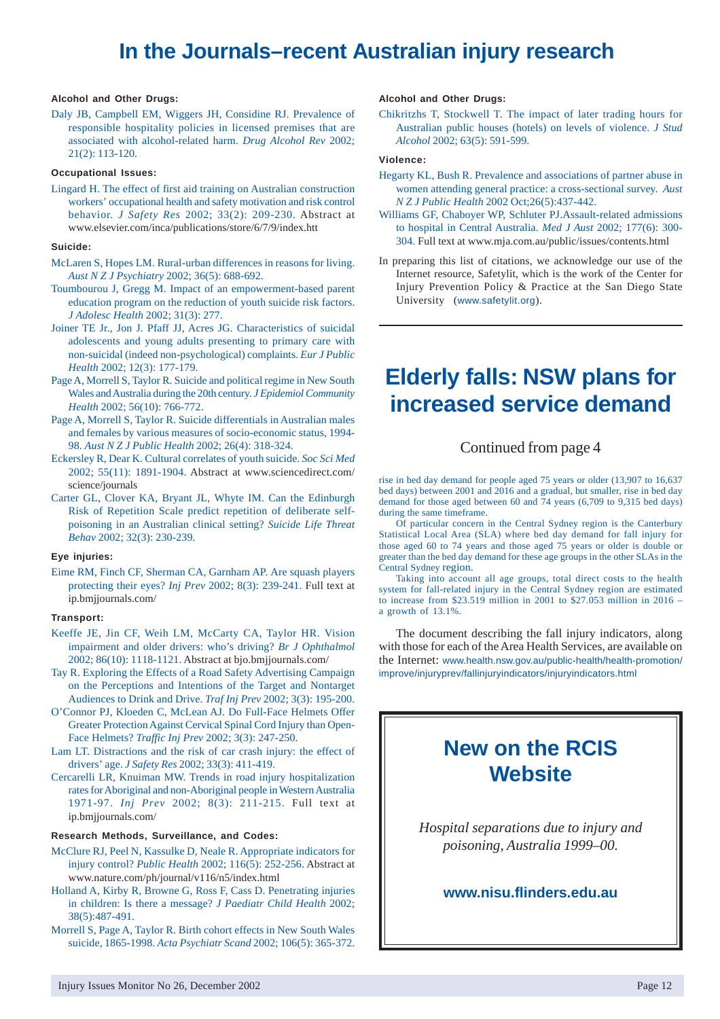# **In the Journals–recent Australian injury research**

### **Alcohol and Other Drugs:**

Daly JB, Campbell EM, Wiggers JH, Considine RJ. Prevalence of responsible hospitality policies in licensed premises that are associated with alcohol-related harm. *Drug Alcohol Rev* 2002; 21(2): 113-120.

#### **Occupational Issues:**

Lingard H. The effect of first aid training on Australian construction workers' occupational health and safety motivation and risk control behavior. *J Safety Res* 2002; 33(2): 209-230. Abstract at www.elsevier.com/inca/publications/store/6/7/9/index.htt

#### **Suicide:**

- McLaren S, Hopes LM. Rural-urban differences in reasons for living. *Aust N Z J Psychiatry* 2002; 36(5): 688-692.
- Toumbourou J, Gregg M. Impact of an empowerment-based parent education program on the reduction of youth suicide risk factors. *J Adolesc Health* 2002; 31(3): 277.
- Joiner TE Jr., Jon J. Pfaff JJ, Acres JG. Characteristics of suicidal adolescents and young adults presenting to primary care with non-suicidal (indeed non-psychological) complaints. *Eur J Public Health* 2002; 12(3): 177-179.
- Page A, Morrell S, Taylor R. Suicide and political regime in New South Wales and Australia during the 20th century. *J Epidemiol Community Health* 2002; 56(10): 766-772.
- Page A, Morrell S, Taylor R. Suicide differentials in Australian males and females by various measures of socio-economic status, 1994- 98. *Aust N Z J Public Health* 2002; 26(4): 318-324.
- Eckersley R, Dear K. Cultural correlates of youth suicide. *Soc Sci Med* 2002; 55(11): 1891-1904. Abstract at www.sciencedirect.com/ science/journals
- Carter GL, Clover KA, Bryant JL, Whyte IM. Can the Edinburgh Risk of Repetition Scale predict repetition of deliberate selfpoisoning in an Australian clinical setting? *Suicide Life Threat Behav* 2002; 32(3): 230-239.

#### **Eye injuries:**

Eime RM, Finch CF, Sherman CA, Garnham AP. Are squash players protecting their eyes? *Inj Prev* 2002; 8(3): 239-241. Full text at ip.bmjjournals.com/

#### **Transport:**

- Keeffe JE, Jin CF, Weih LM, McCarty CA, Taylor HR. Vision impairment and older drivers: who's driving? *Br J Ophthalmol* 2002; 86(10): 1118-1121. Abstract at bjo.bmjjournals.com/
- Tay R. Exploring the Effects of a Road Safety Advertising Campaign on the Perceptions and Intentions of the Target and Nontarget Audiences to Drink and Drive. *Traf Inj Prev* 2002; 3(3): 195-200.
- O'Connor PJ, Kloeden C, McLean AJ. Do Full-Face Helmets Offer Greater Protection Against Cervical Spinal Cord Injury than Open-Face Helmets? *Traffic Inj Prev* 2002; 3(3): 247-250.
- Lam LT. Distractions and the risk of car crash injury: the effect of drivers' age. *J Safety Res* 2002; 33(3): 411-419.
- Cercarelli LR, Knuiman MW. Trends in road injury hospitalization rates for Aboriginal and non-Aboriginal people in Western Australia 1971-97. *Inj Prev* 2002; 8(3): 211-215. Full text at ip.bmjjournals.com/

### **Research Methods, Surveillance, and Codes:**

- McClure RJ, Peel N, Kassulke D, Neale R. Appropriate indicators for injury control? *Public Health* 2002; 116(5): 252-256. Abstract at www.nature.com/ph/journal/v116/n5/index.html
- Holland A, Kirby R, Browne G, Ross F, Cass D. Penetrating injuries in children: Is there a message? *J Paediatr Child Health* 2002; 38(5):487-491.
- Morrell S, Page A, Taylor R. Birth cohort effects in New South Wales suicide, 1865-1998. *Acta Psychiatr Scand* 2002; 106(5): 365-372.

### **Alcohol and Other Drugs:**

Chikritzhs T, Stockwell T. The impact of later trading hours for Australian public houses (hotels) on levels of violence. *J Stud Alcohol* 2002; 63(5): 591-599.

#### **Violence:**

- Hegarty KL, Bush R. Prevalence and associations of partner abuse in women attending general practice: a cross-sectional survey. *Aust N Z J Public Health* 2002 Oct;26(5):437-442.
- Williams GF, Chaboyer WP, Schluter PJ.Assault-related admissions to hospital in Central Australia. *Med J Aust* 2002; 177(6): 300- 304. Full text at www.mja.com.au/public/issues/contents.html
- In preparing this list of citations, we acknowledge our use of the Internet resource, Safetylit, which is the work of the Center for Injury Prevention Policy & Practice at the San Diego State University (www.safetylit.org).

# **Elderly falls: NSW plans for increased service demand**

# Continued from page 4

rise in bed day demand for people aged 75 years or older (13,907 to 16,637 bed days) between 2001 and 2016 and a gradual, but smaller, rise in bed day demand for those aged between 60 and 74 years (6,709 to 9,315 bed days) during the same timeframe.

Of particular concern in the Central Sydney region is the Canterbury Statistical Local Area (SLA) where bed day demand for fall injury for those aged 60 to 74 years and those aged 75 years or older is double or greater than the bed day demand for these age groups in the other SLAs in the Central Sydney region.

Taking into account all age groups, total direct costs to the health system for fall-related injury in the Central Sydney region are estimated to increase from \$23.519 million in 2001 to \$27.053 million in 2016 – a growth of 13.1%.

The document describing the fall injury indicators, along with those for each of the Area Health Services, are available on the Internet: www.health.nsw.gov.au/public-health/health-promotion/ improve/injuryprev/fallinjuryindicators/injuryindicators.html

# **New on the RCIS Website**

*Hospital separations due to injury and poisoning, Australia 1999–00.*

# **www.nisu.flinders.edu.au**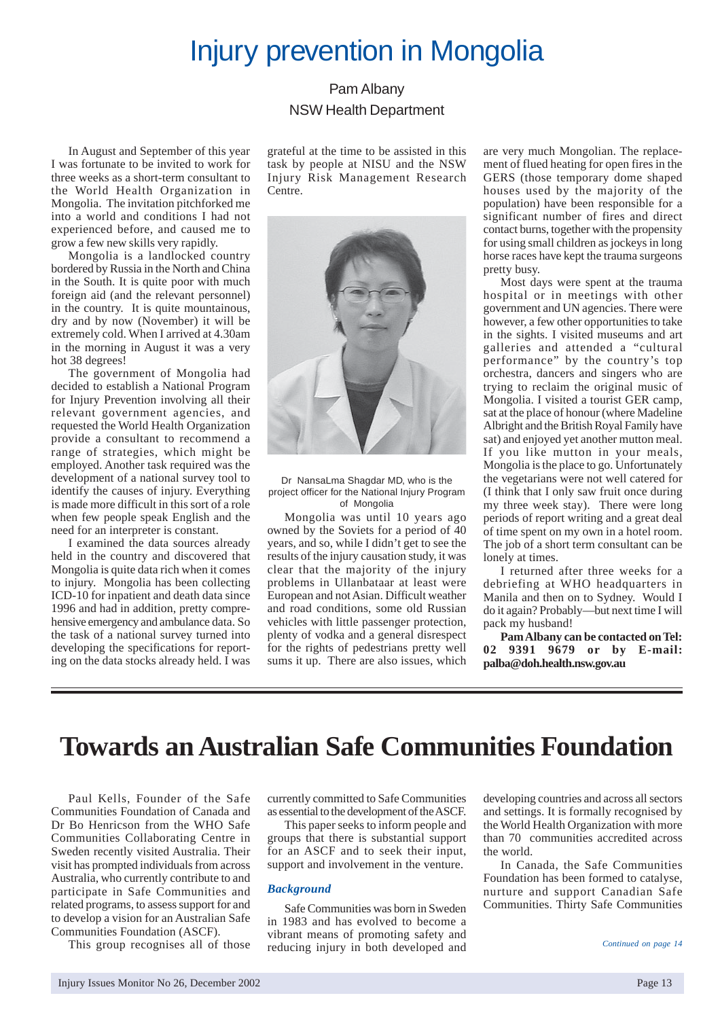# Injury prevention in Mongolia

# Pam Albany NSW Health Department

In August and September of this year I was fortunate to be invited to work for three weeks as a short-term consultant to the World Health Organization in Mongolia. The invitation pitchforked me into a world and conditions I had not experienced before, and caused me to grow a few new skills very rapidly.

Mongolia is a landlocked country bordered by Russia in the North and China in the South. It is quite poor with much foreign aid (and the relevant personnel) in the country. It is quite mountainous, dry and by now (November) it will be extremely cold. When I arrived at 4.30am in the morning in August it was a very hot 38 degrees!

The government of Mongolia had decided to establish a National Program for Injury Prevention involving all their relevant government agencies, and requested the World Health Organization provide a consultant to recommend a range of strategies, which might be employed. Another task required was the development of a national survey tool to identify the causes of injury. Everything is made more difficult in this sort of a role when few people speak English and the need for an interpreter is constant.

I examined the data sources already held in the country and discovered that Mongolia is quite data rich when it comes to injury. Mongolia has been collecting ICD-10 for inpatient and death data since 1996 and had in addition, pretty comprehensive emergency and ambulance data. So the task of a national survey turned into developing the specifications for reporting on the data stocks already held. I was grateful at the time to be assisted in this task by people at NISU and the NSW Injury Risk Management Research Centre.



Dr NansaLma Shagdar MD, who is the project officer for the National Injury Program of Mongolia

Mongolia was until 10 years ago owned by the Soviets for a period of 40 years, and so, while I didn't get to see the results of the injury causation study, it was clear that the majority of the injury problems in Ullanbataar at least were European and not Asian. Difficult weather and road conditions, some old Russian vehicles with little passenger protection, plenty of vodka and a general disrespect for the rights of pedestrians pretty well sums it up. There are also issues, which

are very much Mongolian. The replacement of flued heating for open fires in the GERS (those temporary dome shaped houses used by the majority of the population) have been responsible for a significant number of fires and direct contact burns, together with the propensity for using small children as jockeys in long horse races have kept the trauma surgeons pretty busy.

Most days were spent at the trauma hospital or in meetings with other government and UN agencies. There were however, a few other opportunities to take in the sights. I visited museums and art galleries and attended a "cultural performance" by the country's top orchestra, dancers and singers who are trying to reclaim the original music of Mongolia. I visited a tourist GER camp, sat at the place of honour (where Madeline Albright and the British Royal Family have sat) and enjoyed yet another mutton meal. If you like mutton in your meals, Mongolia is the place to go. Unfortunately the vegetarians were not well catered for (I think that I only saw fruit once during my three week stay). There were long periods of report writing and a great deal of time spent on my own in a hotel room. The job of a short term consultant can be lonely at times.

I returned after three weeks for a debriefing at WHO headquarters in Manila and then on to Sydney. Would I do it again? Probably—but next time I will pack my husband!

**Pam Albany can be contacted on Tel: 02 9391 9679 or by E-mail: palba@doh.health.nsw.gov.au**

# **Towards an Australian Safe Communities Foundation**

Paul Kells, Founder of the Safe Communities Foundation of Canada and Dr Bo Henricson from the WHO Safe Communities Collaborating Centre in Sweden recently visited Australia. Their visit has prompted individuals from across Australia, who currently contribute to and participate in Safe Communities and related programs, to assess support for and to develop a vision for an Australian Safe Communities Foundation (ASCF).

This group recognises all of those

currently committed to Safe Communities as essential to the development of the ASCF.

This paper seeks to inform people and groups that there is substantial support for an ASCF and to seek their input, support and involvement in the venture.

# *Background*

Safe Communities was born in Sweden in 1983 and has evolved to become a vibrant means of promoting safety and reducing injury in both developed and developing countries and across all sectors and settings. It is formally recognised by the World Health Organization with more than 70 communities accredited across the world.

In Canada, the Safe Communities Foundation has been formed to catalyse, nurture and support Canadian Safe Communities. Thirty Safe Communities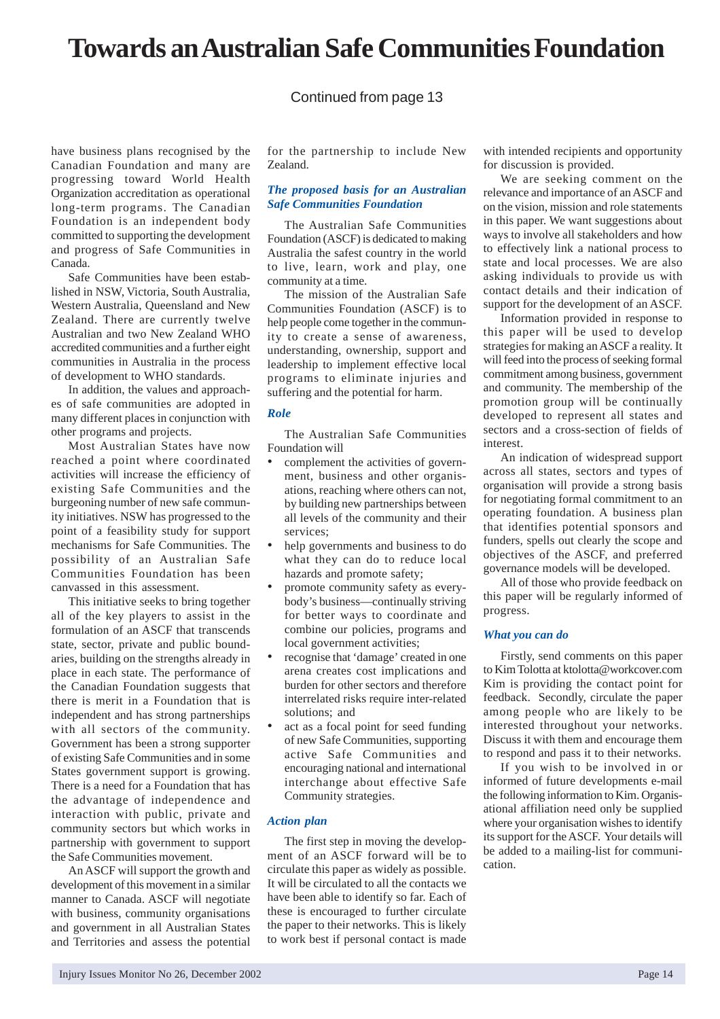# **Towards an Australian Safe Communities Foundation**

# Continued from page 13

have business plans recognised by the Canadian Foundation and many are progressing toward World Health Organization accreditation as operational long-term programs. The Canadian Foundation is an independent body committed to supporting the development and progress of Safe Communities in Canada.

Safe Communities have been established in NSW, Victoria, South Australia, Western Australia, Queensland and New Zealand. There are currently twelve Australian and two New Zealand WHO accredited communities and a further eight communities in Australia in the process of development to WHO standards.

In addition, the values and approaches of safe communities are adopted in many different places in conjunction with other programs and projects.

Most Australian States have now reached a point where coordinated activities will increase the efficiency of existing Safe Communities and the burgeoning number of new safe community initiatives. NSW has progressed to the point of a feasibility study for support mechanisms for Safe Communities. The possibility of an Australian Safe Communities Foundation has been canvassed in this assessment.

This initiative seeks to bring together all of the key players to assist in the formulation of an ASCF that transcends state, sector, private and public boundaries, building on the strengths already in place in each state. The performance of the Canadian Foundation suggests that there is merit in a Foundation that is independent and has strong partnerships with all sectors of the community. Government has been a strong supporter of existing Safe Communities and in some States government support is growing. There is a need for a Foundation that has the advantage of independence and interaction with public, private and community sectors but which works in partnership with government to support the Safe Communities movement.

An ASCF will support the growth and development of this movement in a similar manner to Canada. ASCF will negotiate with business, community organisations and government in all Australian States and Territories and assess the potential

for the partnership to include New Zealand.

# *The proposed basis for an Australian Safe Communities Foundation*

The Australian Safe Communities Foundation (ASCF) is dedicated to making Australia the safest country in the world to live, learn, work and play, one community at a time.

The mission of the Australian Safe Communities Foundation (ASCF) is to help people come together in the community to create a sense of awareness, understanding, ownership, support and leadership to implement effective local programs to eliminate injuries and suffering and the potential for harm.

### *Role*

The Australian Safe Communities Foundation will

- complement the activities of government, business and other organisations, reaching where others can not, by building new partnerships between all levels of the community and their services;
- help governments and business to do what they can do to reduce local hazards and promote safety;
- promote community safety as everybody's business—continually striving for better ways to coordinate and combine our policies, programs and local government activities;
- recognise that 'damage' created in one arena creates cost implications and burden for other sectors and therefore interrelated risks require inter-related solutions; and
- act as a focal point for seed funding of new Safe Communities, supporting active Safe Communities and encouraging national and international interchange about effective Safe Community strategies.

# *Action plan*

The first step in moving the development of an ASCF forward will be to circulate this paper as widely as possible. It will be circulated to all the contacts we have been able to identify so far. Each of these is encouraged to further circulate the paper to their networks. This is likely to work best if personal contact is made

with intended recipients and opportunity for discussion is provided.

We are seeking comment on the relevance and importance of an ASCF and on the vision, mission and role statements in this paper. We want suggestions about ways to involve all stakeholders and how to effectively link a national process to state and local processes. We are also asking individuals to provide us with contact details and their indication of support for the development of an ASCF.

Information provided in response to this paper will be used to develop strategies for making an ASCF a reality. It will feed into the process of seeking formal commitment among business, government and community. The membership of the promotion group will be continually developed to represent all states and sectors and a cross-section of fields of interest.

An indication of widespread support across all states, sectors and types of organisation will provide a strong basis for negotiating formal commitment to an operating foundation. A business plan that identifies potential sponsors and funders, spells out clearly the scope and objectives of the ASCF, and preferred governance models will be developed.

All of those who provide feedback on this paper will be regularly informed of progress.

# *What you can do*

Firstly, send comments on this paper to Kim Tolotta at ktolotta@workcover.com Kim is providing the contact point for feedback. Secondly, circulate the paper among people who are likely to be interested throughout your networks. Discuss it with them and encourage them to respond and pass it to their networks.

If you wish to be involved in or informed of future developments e-mail the following information to Kim. Organisational affiliation need only be supplied where your organisation wishes to identify its support for the ASCF. Your details will be added to a mailing-list for communication.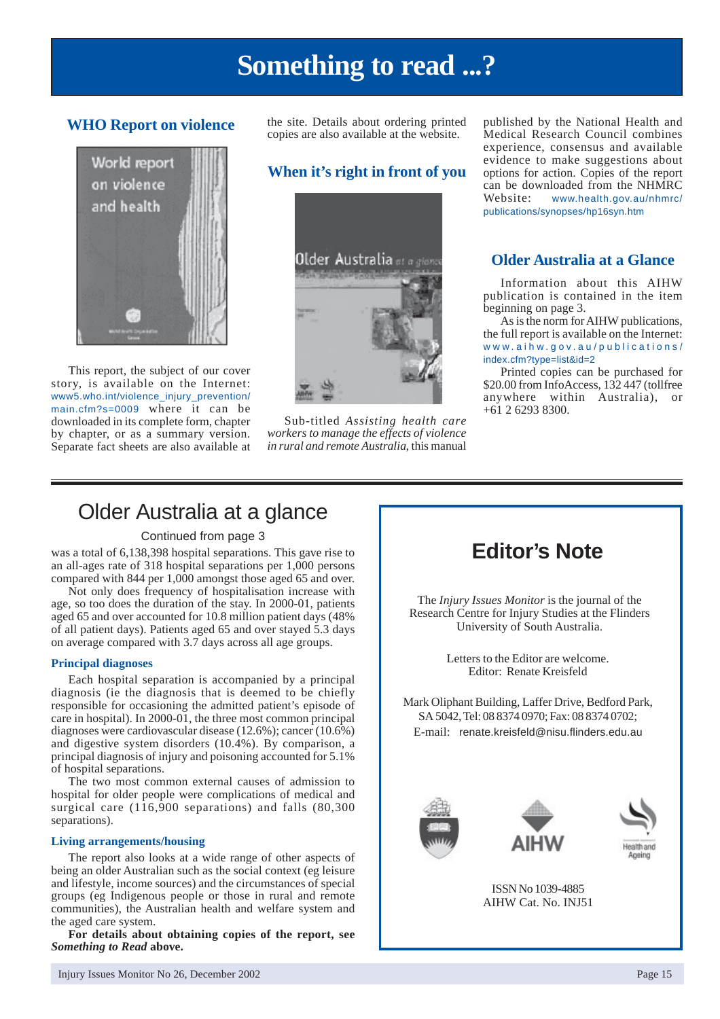# **Something to read ...?**

# **WHO Report on violence**



This report, the subject of our cover story, is available on the Internet: www5.who.int/violence\_injury\_prevention/ main.cfm?s=0009 where it can be downloaded in its complete form, chapter by chapter, or as a summary version. Separate fact sheets are also available at the site. Details about ordering printed copies are also available at the website.

# **When it's right in front of you**



Sub-titled *Assisting health care workers to manage the effects of violence in rural and remote Australia*, this manual published by the National Health and Medical Research Council combines experience, consensus and available evidence to make suggestions about options for action. Copies of the report can be downloaded from the NHMRC Website: www.health.gov.au/nhmrc/ publications/synopses/hp16syn.htm

# **Older Australia at a Glance**

Information about this AIHW publication is contained in the item beginning on page 3.

As is the norm for AIHW publications, the full report is available on the Internet: www.aihw.gov.au/publications/ index.cfm?type=list&id=2

Printed copies can be purchased for \$20.00 from InfoAccess, 132 447 (tollfree anywhere within Australia), or +61 2 6293 8300.

# Older Australia at a glance

# Continued from page 3

was a total of 6,138,398 hospital separations. This gave rise to an all-ages rate of 318 hospital separations per 1,000 persons compared with 844 per 1,000 amongst those aged 65 and over.

Not only does frequency of hospitalisation increase with age, so too does the duration of the stay. In 2000-01, patients aged 65 and over accounted for 10.8 million patient days (48% of all patient days). Patients aged 65 and over stayed 5.3 days on average compared with 3.7 days across all age groups.

### **Principal diagnoses**

Each hospital separation is accompanied by a principal diagnosis (ie the diagnosis that is deemed to be chiefly responsible for occasioning the admitted patient's episode of care in hospital). In 2000-01, the three most common principal diagnoses were cardiovascular disease (12.6%); cancer (10.6%) and digestive system disorders (10.4%). By comparison, a principal diagnosis of injury and poisoning accounted for 5.1% of hospital separations.

The two most common external causes of admission to hospital for older people were complications of medical and surgical care (116,900 separations) and falls (80,300 separations).

# **Living arrangements/housing**

The report also looks at a wide range of other aspects of being an older Australian such as the social context (eg leisure and lifestyle, income sources) and the circumstances of special groups (eg Indigenous people or those in rural and remote communities), the Australian health and welfare system and the aged care system.

**For details about obtaining copies of the report, see** *Something to Read* **above.**



The *Injury Issues Monitor* is the journal of the Research Centre for Injury Studies at the Flinders University of South Australia.

> Letters to the Editor are welcome. Editor: Renate Kreisfeld

Mark Oliphant Building, Laffer Drive, Bedford Park, SA 5042, Tel: 08 8374 0970; Fax: 08 8374 0702; E-mail: renate.kreisfeld@nisu.flinders.edu.au







ISSN No 1039-4885 AIHW Cat. No. INJ51